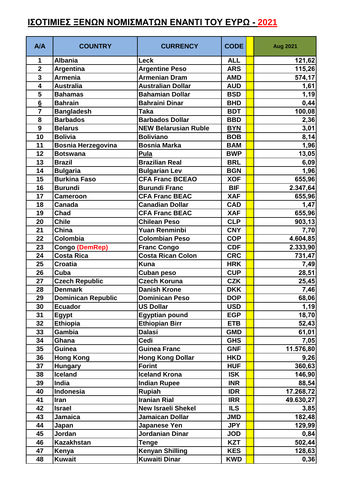## **ΙΣΟΤΙΜΙΕΣ ΞΕΝΩΝ ΝΟΜΙΣΜΑΤΩΝ ΕΝΑΝΤΙ ΤΟΥ ΕΥΡΩ - 2021**

| A/A                     | <b>COUNTRY</b>            | <b>CURRENCY</b>             | <b>CODE</b> | <b>Aug 2021</b> |
|-------------------------|---------------------------|-----------------------------|-------------|-----------------|
| 1                       | <b>Albania</b>            | <b>Leck</b>                 | <b>ALL</b>  | 121,62          |
| $\overline{2}$          | <b>Argentina</b>          | <b>Argentine Peso</b>       | <b>ARS</b>  | 115,26          |
| $\overline{\mathbf{3}}$ | <b>Armenia</b>            | <b>Armenian Dram</b>        | <b>AMD</b>  | 574,17          |
| $\overline{\mathbf{4}}$ | <b>Australia</b>          | <b>Australian Dollar</b>    | <b>AUD</b>  | 1,61            |
| 5                       | <b>Bahamas</b>            | <b>Bahamian Dollar</b>      | <b>BSD</b>  | 1,19            |
| $6\phantom{a}$          | <b>Bahrain</b>            | <b>Bahraini Dinar</b>       | <b>BHD</b>  | 0,44            |
| $\overline{7}$          | <b>Bangladesh</b>         | <b>Taka</b>                 | <b>BDT</b>  | 100,08          |
| 8                       | <b>Barbados</b>           | <b>Barbados Dollar</b>      | <b>BBD</b>  | 2,36            |
| 9                       | <b>Belarus</b>            | <b>NEW Belarusian Ruble</b> | <b>BYN</b>  | 3,01            |
| 10                      | <b>Bolivia</b>            | <b>Boliviano</b>            | <b>BOB</b>  | 8,14            |
| 11                      | <b>Bosnia Herzegovina</b> | <b>Bosnia Marka</b>         | <b>BAM</b>  | 1,96            |
| 12                      | <b>Botswana</b>           | Pula                        | <b>BWP</b>  | 13,05           |
| 13                      | <b>Brazil</b>             | <b>Brazilian Real</b>       | <b>BRL</b>  | 6,09            |
| 14                      | <b>Bulgaria</b>           | <b>Bulgarian Lev</b>        | <b>BGN</b>  | 1,96            |
| 15                      | <b>Burkina Faso</b>       | <b>CFA Franc BCEAO</b>      | <b>XOF</b>  | 655,96          |
| 16                      | <b>Burundi</b>            | <b>Burundi Franc</b>        | <b>BIF</b>  | 2.347,64        |
| 17                      | <b>Cameroon</b>           | <b>CFA Franc BEAC</b>       | <b>XAF</b>  | 655,96          |
| 18                      | Canada                    | <b>Canadian Dollar</b>      | <b>CAD</b>  | 1,47            |
| 19                      | Chad                      | <b>CFA Franc BEAC</b>       | <b>XAF</b>  | 655,96          |
| 20                      | <b>Chile</b>              | <b>Chilean Peso</b>         | <b>CLP</b>  | 903, 13         |
| 21                      | China                     | Yuan Renminbi               | <b>CNY</b>  | 7,70            |
| 22                      | Colombia                  | <b>Colombian Peso</b>       | <b>COP</b>  | 4.604,85        |
| 23                      | <b>Congo (DemRep)</b>     | <b>Franc Congo</b>          | <b>CDF</b>  | 2.333,90        |
| 24                      | <b>Costa Rica</b>         | <b>Costa Rican Colon</b>    | <b>CRC</b>  | 731,47          |
| 25                      | <b>Croatia</b>            | <b>Kuna</b>                 | <b>HRK</b>  | 7,49            |
| 26                      | Cuba                      | <b>Cuban peso</b>           | <b>CUP</b>  | 28,51           |
| 27                      | <b>Czech Republic</b>     | <b>Czech Koruna</b>         | <b>CZK</b>  | 25,45           |
| 28                      | <b>Denmark</b>            | <b>Danish Krone</b>         | <b>DKK</b>  | 7,46            |
| 29                      | <b>Dominican Republic</b> | <b>Dominican Peso</b>       | <b>DOP</b>  | 68,06           |
| 30                      | <b>Ecuador</b>            | <b>US Dollar</b>            | <b>USD</b>  | 1,19            |
| 31                      | Egypt                     | <b>Egyptian pound</b>       | <b>EGP</b>  | 18,70           |
| 32                      | <b>Ethiopia</b>           | <b>Ethiopian Birr</b>       | <b>ETB</b>  | 52,43           |
| 33                      | Gambia                    | <b>Dalasi</b>               | <b>GMD</b>  | 61,01           |
| 34                      | Ghana                     | Cedi                        | <b>GHS</b>  | 7,05            |
| 35                      | Guinea                    | <b>Guinea Franc</b>         | <b>GNF</b>  | 11.576,80       |
| 36                      | <b>Hong Kong</b>          | <b>Hong Kong Dollar</b>     | <b>HKD</b>  | 9,26            |
| 37                      | <b>Hungary</b>            | <b>Forint</b>               | <b>HUF</b>  | 360,63          |
| 38                      | <b>Iceland</b>            | <b>Iceland Krona</b>        | <b>ISK</b>  | 146,90          |
| 39                      | India                     | <b>Indian Rupee</b>         | <b>INR</b>  | 88,54           |
| 40                      | Indonesia                 | <b>Rupiah</b>               | <b>IDR</b>  | 17.268,72       |
| 41                      | Iran                      | <b>Iranian Rial</b>         | <b>IRR</b>  | 49.630,27       |
| 42                      | <b>Israel</b>             | <b>New Israeli Shekel</b>   | <b>ILS</b>  | 3,85            |
| 43                      | <b>Jamaica</b>            | <b>Jamaican Dollar</b>      | <b>JMD</b>  | 182,48          |
| 44                      | Japan                     | Japanese Yen                | <b>JPY</b>  | 129,99          |
| 45                      | Jordan                    | Jordanian Dinar             | <b>JOD</b>  | 0,84            |
| 46                      | <b>Kazakhstan</b>         | Tenge                       | <b>KZT</b>  | 502,44          |
| 47                      | Kenya                     | <b>Kenyan Shilling</b>      | <b>KES</b>  | 128,63          |
| 48                      | <b>Kuwait</b>             | <b>Kuwaiti Dinar</b>        | <b>KWD</b>  | 0,36            |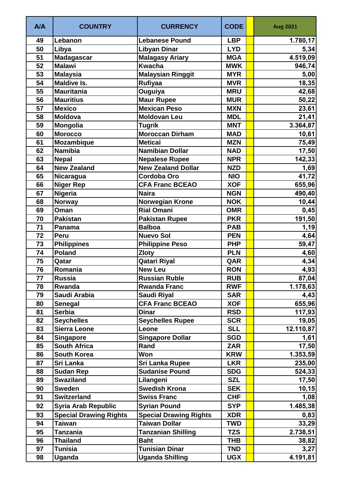| <b>A/A</b> | <b>COUNTRY</b>                | <b>CURRENCY</b>               | <b>CODE</b> | <b>Aug 2021</b> |
|------------|-------------------------------|-------------------------------|-------------|-----------------|
| 49         | Lebanon                       | <b>Lebanese Pound</b>         | <b>LBP</b>  | 1.780, 17       |
| 50         | Libya                         | <b>Libyan Dinar</b>           | <b>LYD</b>  | 5,34            |
| 51         | <b>Madagascar</b>             | <b>Malagasy Ariary</b>        | <b>MGA</b>  | 4.519,09        |
| 52         | <b>Malawi</b>                 | <b>Kwacha</b>                 | <b>MWK</b>  | 946,74          |
| 53         | <b>Malaysia</b>               | Malaysian Ringgit             | <b>MYR</b>  | 5,00            |
| 54         | <b>Maldive Is.</b>            | <b>Rufiyaa</b>                | <b>MVR</b>  | 18,35           |
| 55         | <b>Mauritania</b>             | Ouguiya                       | <b>MRU</b>  | 42,68           |
| 56         | <b>Mauritius</b>              | <b>Maur Rupee</b>             | <b>MUR</b>  | 50,22           |
| 57         | <b>Mexico</b>                 | <b>Mexican Peso</b>           | <b>MXN</b>  | 23,61           |
| 58         | <b>Moldova</b>                | <b>Moldovan Leu</b>           | <b>MDL</b>  | 21,41           |
| 59         | Mongolia                      | <b>Tugrik</b>                 | <b>MNT</b>  | 3.364,87        |
| 60         | <b>Morocco</b>                | <b>Moroccan Dirham</b>        | <b>MAD</b>  | 10,61           |
| 61         | Mozambique                    | <b>Meticai</b>                | <b>MZN</b>  | 75,49           |
| 62         | <b>Namibia</b>                | <b>Namibian Dollar</b>        | <b>NAD</b>  | 17,50           |
| 63         | <b>Nepal</b>                  | <b>Nepalese Rupee</b>         | <b>NPR</b>  | 142,33          |
| 64         | <b>New Zealand</b>            | <b>New Zealand Dollar</b>     | <b>NZD</b>  | 1,69            |
| 65         | <b>Nicaragua</b>              | <b>Cordoba Oro</b>            | <b>NIO</b>  | 41,72           |
| 66         | <b>Niger Rep</b>              | <b>CFA Franc BCEAO</b>        | <b>XOF</b>  | 655,96          |
| 67         | <b>Nigeria</b>                | <b>Naira</b>                  | <b>NGN</b>  | 490,40          |
| 68         | <b>Norway</b>                 | <b>Norwegian Krone</b>        | <b>NOK</b>  | 10,44           |
| 69         | Oman                          | <b>Rial Omani</b>             | <b>OMR</b>  | 0,45            |
| 70         | <b>Pakistan</b>               | <b>Pakistan Rupee</b>         | <b>PKR</b>  | 191,50          |
| 71         | Panama                        | <b>Balboa</b>                 | <b>PAB</b>  | 1,19            |
| 72         | Peru                          | <b>Nuevo Sol</b>              | <b>PEN</b>  | 4,64            |
| 73         | <b>Philippines</b>            | <b>Philippine Peso</b>        | <b>PHP</b>  | 59,47           |
| 74         | <b>Poland</b>                 | <b>Zloty</b>                  | <b>PLN</b>  | 4,60            |
| 75         | Qatar                         | <b>Qatari Riyal</b>           | QAR         | 4,34            |
| 76         | Romania                       | <b>New Leu</b>                | <b>RON</b>  | 4,93            |
| 77         | <b>Russia</b>                 | <b>Russian Ruble</b>          | <b>RUB</b>  | 87,04           |
| 78         | Rwanda                        | <b>Rwanda Franc</b>           | <b>RWF</b>  | 1.178,63        |
| 79         | Saudi Arabia                  | <b>Saudi Riyal</b>            | <b>SAR</b>  | 4,43            |
| 80         | Senegal                       | <b>CFA Franc BCEAO</b>        | <b>XOF</b>  | 655,96          |
| 81         | <b>Serbia</b>                 | <b>Dinar</b>                  | <b>RSD</b>  | 117,93          |
| 82         | <b>Seychelles</b>             | <b>Seychelles Rupee</b>       | <b>SCR</b>  | 19,05           |
| 83         | <b>Sierra Leone</b>           | Leone                         | <b>SLL</b>  | 12.110,87       |
| 84         | <b>Singapore</b>              | <b>Singapore Dollar</b>       | <b>SGD</b>  | 1,61            |
| 85         | <b>South Africa</b>           | Rand                          | <b>ZAR</b>  | 17,50           |
| 86         | <b>South Korea</b>            | Won                           | <b>KRW</b>  | 1.353,59        |
| 87         | Sri Lanka                     | <b>Sri Lanka Rupee</b>        | <b>LKR</b>  | 235,00          |
| 88         | <b>Sudan Rep</b>              | <b>Sudanise Pound</b>         | <b>SDG</b>  | 524,33          |
| 89         | <b>Swaziland</b>              | Lilangeni                     | <b>SZL</b>  | 17,50           |
| 90         | <b>Sweden</b>                 | <b>Swedish Krona</b>          | <b>SEK</b>  | 10, 15          |
| 91         | <b>Switzerland</b>            | <b>Swiss Franc</b>            | <b>CHF</b>  | 1,08            |
| 92         | <b>Syria Arab Republic</b>    | <b>Syrian Pound</b>           | <b>SYP</b>  | 1.485,38        |
| 93         | <b>Special Drawing Rights</b> | <b>Special Drawing Rights</b> | <b>XDR</b>  | 0,83            |
| 94         | <b>Taiwan</b>                 | <b>Taiwan Dollar</b>          | <b>TWD</b>  | 33,29           |
| 95         | <b>Tanzania</b>               | <b>Tanzanian Shilling</b>     | <b>TZS</b>  | 2.738,51        |
| 96         | <b>Thailand</b>               | <b>Baht</b>                   | <b>THB</b>  | 38,82           |
| 97         | <b>Tunisia</b>                | <b>Tunisian Dinar</b>         | <b>TND</b>  | 3,27            |
| 98         | Uganda                        | <b>Uganda Shilling</b>        | <b>UGX</b>  | 4.191,81        |